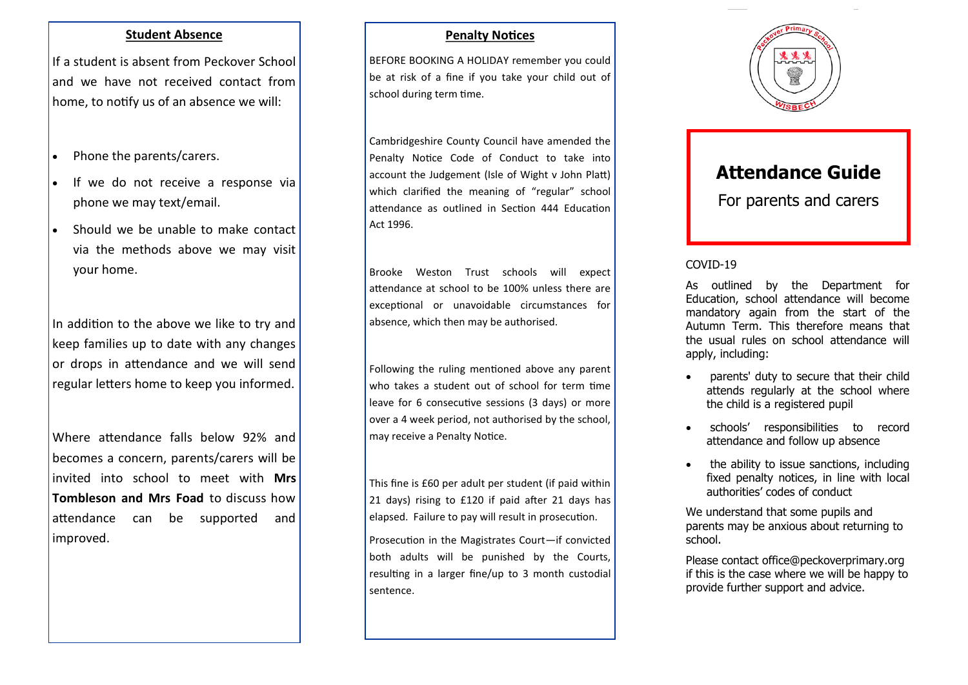#### **Student Absence**

If a student is absent from Peckover School and we have not received contact from home, to notify us of an absence we will:

- Phone the parents/carers.
- If we do not receive a response via phone we may text/email.
- Should we be unable to make contact via the methods above we may visit your home.

In addition to the above we like to try and keep families up to date with any changes or drops in attendance and we will send regular letters home to keep you informed.

Where attendance falls below 92% and becomes a concern, parents/carers will be invited into school to meet with **Mrs Tombleson and Mrs Foad** to discuss how attendance can be supported and improved.

## **Penalty Notices**

BEFORE BOOKING A HOLIDAY remember you could be at risk of a fine if you take your child out of school during term time.

Cambridgeshire County Council have amended the Penalty Notice Code of Conduct to take into account the Judgement (Isle of Wight v John Platt) which clarified the meaning of "regular" school attendance as outlined in Section 444 Education Act 1996.

Brooke Weston Trust schools will expect attendance at school to be 100% unless there are exceptional or unavoidable circumstances for absence, which then may be authorised.

Following the ruling mentioned above any parent who takes a student out of school for term time leave for 6 consecutive sessions (3 days) or more over a 4 week period, not authorised by the school, may receive a Penalty Notice.

This fine is £60 per adult per student (if paid within 21 days) rising to £120 if paid after 21 days has elapsed. Failure to pay will result in prosecution.

Prosecution in the Magistrates Court—if convicted both adults will be punished by the Courts, resulting in a larger fine/up to 3 month custodial sentence.



# **Attendance Guide**

For parents and carers

### COVID-19

As outlined by the Department for Education, school attendance will become mandatory again from the start of the Autumn Term. This therefore means that the usual rules on school attendance will apply, including:

- parents' duty to secure that their child attends regularly at the school where the child is a registered pupil
- schools' responsibilities to record attendance and follow up absence
- the ability to issue sanctions, including fixed penalty notices, in line with local authorities' codes of conduct

We understand that some pupils and parents may be anxious about returning to school.

Please contact office@peckoverprimary.org if this is the case where we will be happy to provide further support and advice.